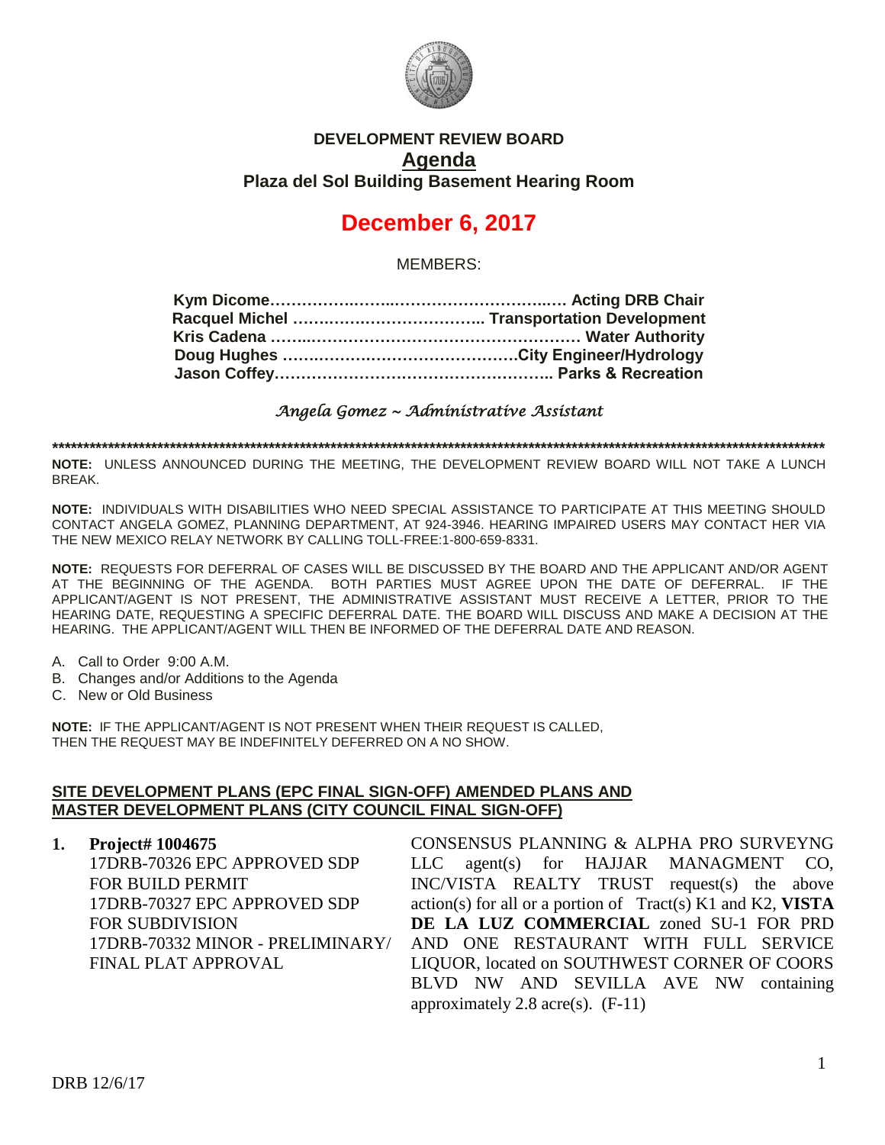

# **DEVELOPMENT REVIEW BOARD Agenda Plaza del Sol Building Basement Hearing Room**

# **December 6, 2017**

MEMBERS:

*Angela Gomez ~ Administrative Assistant* 

**\*\*\*\*\*\*\*\*\*\*\*\*\*\*\*\*\*\*\*\*\*\*\*\*\*\*\*\*\*\*\*\*\*\*\*\*\*\*\*\*\*\*\*\*\*\*\*\*\*\*\*\*\*\*\*\*\*\*\*\*\*\*\*\*\*\*\*\*\*\*\*\*\*\*\*\*\*\*\*\*\*\*\*\*\*\*\*\*\*\*\*\*\*\*\*\*\*\*\*\*\*\*\*\*\*\*\*\*\*\*\*\*\*\*\*\*\*\*\*\*\*\*\*\*\***

**NOTE:** UNLESS ANNOUNCED DURING THE MEETING, THE DEVELOPMENT REVIEW BOARD WILL NOT TAKE A LUNCH BREAK.

**NOTE:** INDIVIDUALS WITH DISABILITIES WHO NEED SPECIAL ASSISTANCE TO PARTICIPATE AT THIS MEETING SHOULD CONTACT ANGELA GOMEZ, PLANNING DEPARTMENT, AT 924-3946. HEARING IMPAIRED USERS MAY CONTACT HER VIA THE NEW MEXICO RELAY NETWORK BY CALLING TOLL-FREE:1-800-659-8331.

**NOTE:** REQUESTS FOR DEFERRAL OF CASES WILL BE DISCUSSED BY THE BOARD AND THE APPLICANT AND/OR AGENT AT THE BEGINNING OF THE AGENDA. BOTH PARTIES MUST AGREE UPON THE DATE OF DEFERRAL. IF THE APPLICANT/AGENT IS NOT PRESENT, THE ADMINISTRATIVE ASSISTANT MUST RECEIVE A LETTER, PRIOR TO THE HEARING DATE, REQUESTING A SPECIFIC DEFERRAL DATE. THE BOARD WILL DISCUSS AND MAKE A DECISION AT THE HEARING. THE APPLICANT/AGENT WILL THEN BE INFORMED OF THE DEFERRAL DATE AND REASON.

- A. Call to Order 9:00 A.M.
- B. Changes and/or Additions to the Agenda
- C. New or Old Business

**NOTE:** IF THE APPLICANT/AGENT IS NOT PRESENT WHEN THEIR REQUEST IS CALLED, THEN THE REQUEST MAY BE INDEFINITELY DEFERRED ON A NO SHOW.

## **SITE DEVELOPMENT PLANS (EPC FINAL SIGN-OFF) AMENDED PLANS AND MASTER DEVELOPMENT PLANS (CITY COUNCIL FINAL SIGN-OFF)**

**1. Project# 1004675** 17DRB-70326 EPC APPROVED SDP FOR BUILD PERMIT 17DRB-70327 EPC APPROVED SDP FOR SUBDIVISION 17DRB-70332 MINOR - PRELIMINARY/ FINAL PLAT APPROVAL

CONSENSUS PLANNING & ALPHA PRO SURVEYNG LLC agent(s) for HAJJAR MANAGMENT CO, INC/VISTA REALTY TRUST request(s) the above action(s) for all or a portion of Tract(s) K1 and K2, **VISTA DE LA LUZ COMMERCIAL** zoned SU-1 FOR PRD AND ONE RESTAURANT WITH FULL SERVICE LIQUOR, located on SOUTHWEST CORNER OF COORS BLVD NW AND SEVILLA AVE NW containing approximately 2.8 acre(s).  $(F-11)$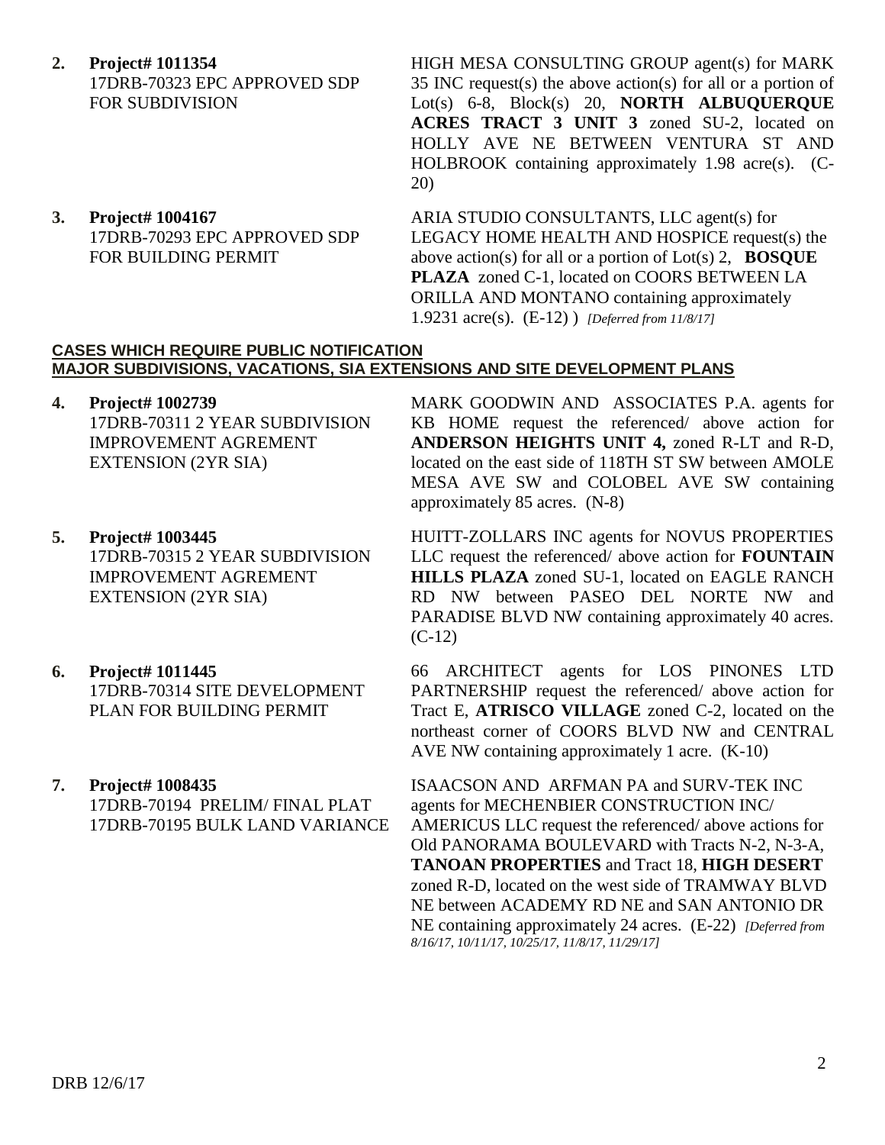- **2. Project# 1011354** 17DRB-70323 EPC APPROVED SDP FOR SUBDIVISION
- **3. Project# 1004167** 17DRB-70293 EPC APPROVED SDP FOR BUILDING PERMIT

HIGH MESA CONSULTING GROUP agent(s) for MARK 35 INC request(s) the above action(s) for all or a portion of Lot(s) 6-8, Block(s) 20, **NORTH ALBUQUERQUE ACRES TRACT 3 UNIT 3** zoned SU-2, located on HOLLY AVE NE BETWEEN VENTURA ST AND HOLBROOK containing approximately 1.98 acre(s). (C-20)

ARIA STUDIO CONSULTANTS, LLC agent(s) for LEGACY HOME HEALTH AND HOSPICE request(s) the above action(s) for all or a portion of Lot(s) 2, **BOSQUE PLAZA** zoned C-1, located on COORS BETWEEN LA ORILLA AND MONTANO containing approximately 1.9231 acre(s). (E-12) ) *[Deferred from 11/8/17]*

### **CASES WHICH REQUIRE PUBLIC NOTIFICATION MAJOR SUBDIVISIONS, VACATIONS, SIA EXTENSIONS AND SITE DEVELOPMENT PLANS**

- **4. Project# 1002739** 17DRB-70311 2 YEAR SUBDIVISION IMPROVEMENT AGREMENT EXTENSION (2YR SIA)
- **5. Project# 1003445** 17DRB-70315 2 YEAR SUBDIVISION IMPROVEMENT AGREMENT EXTENSION (2YR SIA)
- **6. Project# 1011445** 17DRB-70314 SITE DEVELOPMENT PLAN FOR BUILDING PERMIT
- **7. Project# 1008435** 17DRB-70194 PRELIM/ FINAL PLAT 17DRB-70195 BULK LAND VARIANCE

MARK GOODWIN AND ASSOCIATES P.A. agents for KB HOME request the referenced/ above action for **ANDERSON HEIGHTS UNIT 4,** zoned R-LT and R-D, located on the east side of 118TH ST SW between AMOLE MESA AVE SW and COLOBEL AVE SW containing approximately 85 acres. (N-8)

HUITT-ZOLLARS INC agents for NOVUS PROPERTIES LLC request the referenced/ above action for **FOUNTAIN HILLS PLAZA** zoned SU-1, located on EAGLE RANCH RD NW between PASEO DEL NORTE NW and PARADISE BLVD NW containing approximately 40 acres.  $(C-12)$ 

66 ARCHITECT agents for LOS PINONES LTD PARTNERSHIP request the referenced/ above action for Tract E, **ATRISCO VILLAGE** zoned C-2, located on the northeast corner of COORS BLVD NW and CENTRAL AVE NW containing approximately 1 acre. (K-10)

ISAACSON AND ARFMAN PA and SURV-TEK INC agents for MECHENBIER CONSTRUCTION INC/ AMERICUS LLC request the referenced/ above actions for Old PANORAMA BOULEVARD with Tracts N-2, N-3-A, **TANOAN PROPERTIES** and Tract 18, **HIGH DESERT** zoned R-D, located on the west side of TRAMWAY BLVD NE between ACADEMY RD NE and SAN ANTONIO DR NE containing approximately 24 acres. (E-22) *[Deferred from 8/16/17, 10/11/17, 10/25/17, 11/8/17, 11/29/17]*